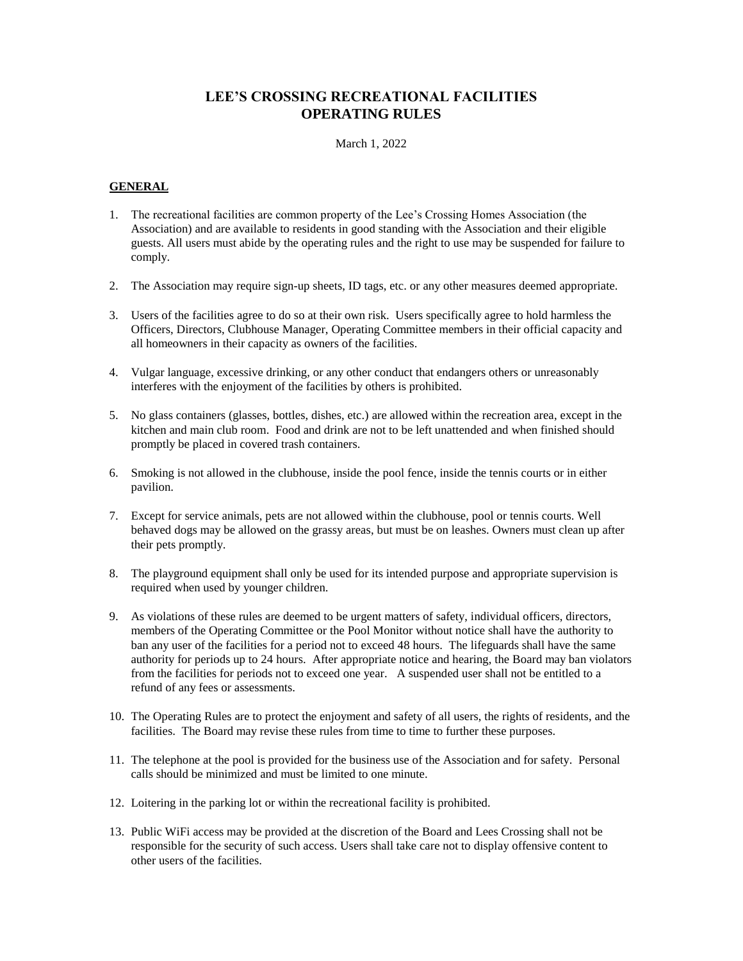# **LEE'S CROSSING RECREATIONAL FACILITIES OPERATING RULES**

### March 1, 2022

# **GENERAL**

- 1. The recreational facilities are common property of the Lee's Crossing Homes Association (the Association) and are available to residents in good standing with the Association and their eligible guests. All users must abide by the operating rules and the right to use may be suspended for failure to comply.
- 2. The Association may require sign-up sheets, ID tags, etc. or any other measures deemed appropriate.
- 3. Users of the facilities agree to do so at their own risk. Users specifically agree to hold harmless the Officers, Directors, Clubhouse Manager, Operating Committee members in their official capacity and all homeowners in their capacity as owners of the facilities.
- 4. Vulgar language, excessive drinking, or any other conduct that endangers others or unreasonably interferes with the enjoyment of the facilities by others is prohibited.
- 5. No glass containers (glasses, bottles, dishes, etc.) are allowed within the recreation area, except in the kitchen and main club room. Food and drink are not to be left unattended and when finished should promptly be placed in covered trash containers.
- 6. Smoking is not allowed in the clubhouse, inside the pool fence, inside the tennis courts or in either pavilion.
- 7. Except for service animals, pets are not allowed within the clubhouse, pool or tennis courts. Well behaved dogs may be allowed on the grassy areas, but must be on leashes. Owners must clean up after their pets promptly.
- 8. The playground equipment shall only be used for its intended purpose and appropriate supervision is required when used by younger children.
- 9. As violations of these rules are deemed to be urgent matters of safety, individual officers, directors, members of the Operating Committee or the Pool Monitor without notice shall have the authority to ban any user of the facilities for a period not to exceed 48 hours. The lifeguards shall have the same authority for periods up to 24 hours. After appropriate notice and hearing, the Board may ban violators from the facilities for periods not to exceed one year. A suspended user shall not be entitled to a refund of any fees or assessments.
- 10. The Operating Rules are to protect the enjoyment and safety of all users, the rights of residents, and the facilities. The Board may revise these rules from time to time to further these purposes.
- 11. The telephone at the pool is provided for the business use of the Association and for safety. Personal calls should be minimized and must be limited to one minute.
- 12. Loitering in the parking lot or within the recreational facility is prohibited.
- 13. Public WiFi access may be provided at the discretion of the Board and Lees Crossing shall not be responsible for the security of such access. Users shall take care not to display offensive content to other users of the facilities.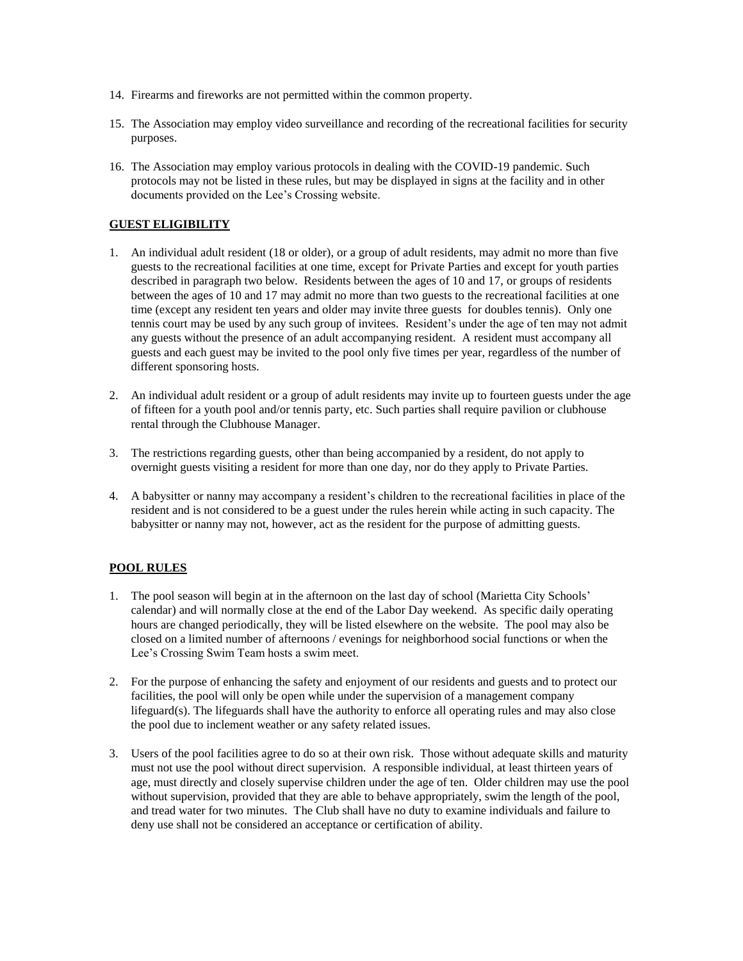- 14. Firearms and fireworks are not permitted within the common property.
- 15. The Association may employ video surveillance and recording of the recreational facilities for security purposes.
- 16. The Association may employ various protocols in dealing with the COVID-19 pandemic. Such protocols may not be listed in these rules, but may be displayed in signs at the facility and in other documents provided on the Lee's Crossing website.

# **GUEST ELIGIBILITY**

- 1. An individual adult resident (18 or older), or a group of adult residents, may admit no more than five guests to the recreational facilities at one time, except for Private Parties and except for youth parties described in paragraph two below. Residents between the ages of 10 and 17, or groups of residents between the ages of 10 and 17 may admit no more than two guests to the recreational facilities at one time (except any resident ten years and older may invite three guests for doubles tennis). Only one tennis court may be used by any such group of invitees. Resident's under the age of ten may not admit any guests without the presence of an adult accompanying resident. A resident must accompany all guests and each guest may be invited to the pool only five times per year, regardless of the number of different sponsoring hosts.
- 2. An individual adult resident or a group of adult residents may invite up to fourteen guests under the age of fifteen for a youth pool and/or tennis party, etc. Such parties shall require pavilion or clubhouse rental through the Clubhouse Manager.
- 3. The restrictions regarding guests, other than being accompanied by a resident, do not apply to overnight guests visiting a resident for more than one day, nor do they apply to Private Parties.
- 4. A babysitter or nanny may accompany a resident's children to the recreational facilities in place of the resident and is not considered to be a guest under the rules herein while acting in such capacity. The babysitter or nanny may not, however, act as the resident for the purpose of admitting guests.

# **POOL RULES**

- 1. The pool season will begin at in the afternoon on the last day of school (Marietta City Schools' calendar) and will normally close at the end of the Labor Day weekend. As specific daily operating hours are changed periodically, they will be listed elsewhere on the website. The pool may also be closed on a limited number of afternoons / evenings for neighborhood social functions or when the Lee's Crossing Swim Team hosts a swim meet.
- 2. For the purpose of enhancing the safety and enjoyment of our residents and guests and to protect our facilities, the pool will only be open while under the supervision of a management company lifeguard(s). The lifeguards shall have the authority to enforce all operating rules and may also close the pool due to inclement weather or any safety related issues.
- 3. Users of the pool facilities agree to do so at their own risk. Those without adequate skills and maturity must not use the pool without direct supervision. A responsible individual, at least thirteen years of age, must directly and closely supervise children under the age of ten. Older children may use the pool without supervision, provided that they are able to behave appropriately, swim the length of the pool, and tread water for two minutes. The Club shall have no duty to examine individuals and failure to deny use shall not be considered an acceptance or certification of ability.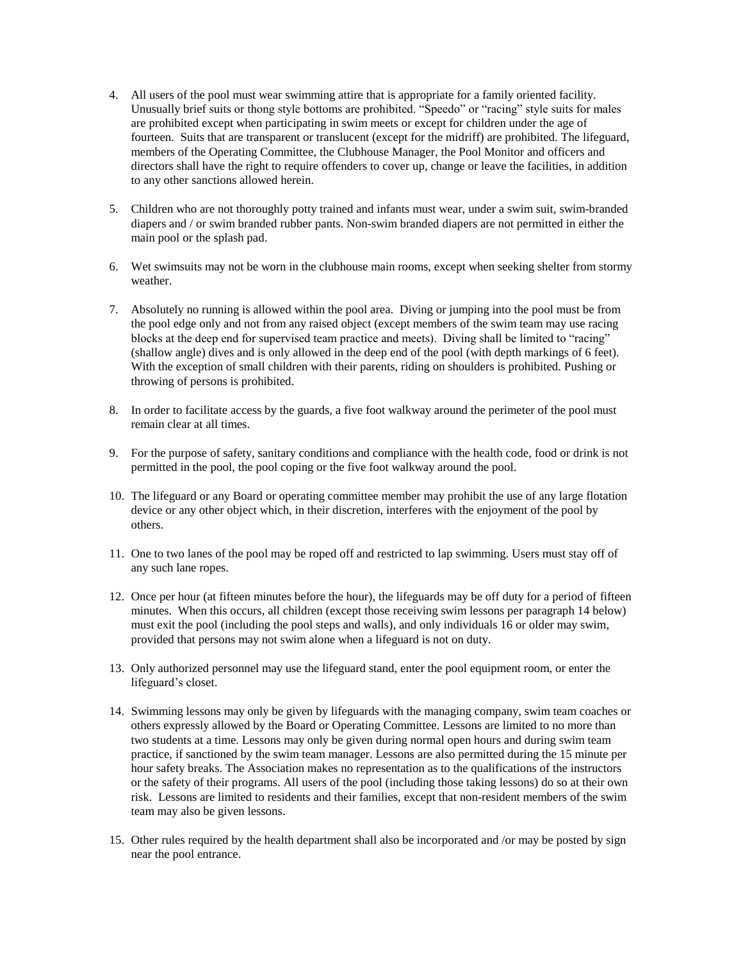- 4. All users of the pool must wear swimming attire that is appropriate for a family oriented facility. Unusually brief suits or thong style bottoms are prohibited. "Speedo" or "racing" style suits for males are prohibited except when participating in swim meets or except for children under the age of fourteen. Suits that are transparent or translucent (except for the midriff) are prohibited. The lifeguard, members of the Operating Committee, the Clubhouse Manager, the Pool Monitor and officers and directors shall have the right to require offenders to cover up, change or leave the facilities, in addition to any other sanctions allowed herein.
- 5. Children who are not thoroughly potty trained and infants must wear, under a swim suit, swim-branded diapers and / or swim branded rubber pants. Non-swim branded diapers are not permitted in either the main pool or the splash pad.
- 6. Wet swimsuits may not be worn in the clubhouse main rooms, except when seeking shelter from stormy weather.
- 7. Absolutely no running is allowed within the pool area. Diving or jumping into the pool must be from the pool edge only and not from any raised object (except members of the swim team may use racing blocks at the deep end for supervised team practice and meets). Diving shall be limited to "racing" (shallow angle) dives and is only allowed in the deep end of the pool (with depth markings of 6 feet). With the exception of small children with their parents, riding on shoulders is prohibited. Pushing or throwing of persons is prohibited.
- 8. In order to facilitate access by the guards, a five foot walkway around the perimeter of the pool must remain clear at all times.
- 9. For the purpose of safety, sanitary conditions and compliance with the health code, food or drink is not permitted in the pool, the pool coping or the five foot walkway around the pool.
- 10. The lifeguard or any Board or operating committee member may prohibit the use of any large flotation device or any other object which, in their discretion, interferes with the enjoyment of the pool by others.
- 11. One to two lanes of the pool may be roped off and restricted to lap swimming. Users must stay off of any such lane ropes.
- 12. Once per hour (at fifteen minutes before the hour), the lifeguards may be off duty for a period of fifteen minutes. When this occurs, all children (except those receiving swim lessons per paragraph 14 below) must exit the pool (including the pool steps and walls), and only individuals 16 or older may swim, provided that persons may not swim alone when a lifeguard is not on duty.
- 13. Only authorized personnel may use the lifeguard stand, enter the pool equipment room, or enter the lifeguard's closet.
- 14. Swimming lessons may only be given by lifeguards with the managing company, swim team coaches or others expressly allowed by the Board or Operating Committee. Lessons are limited to no more than two students at a time. Lessons may only be given during normal open hours and during swim team practice, if sanctioned by the swim team manager. Lessons are also permitted during the 15 minute per hour safety breaks. The Association makes no representation as to the qualifications of the instructors or the safety of their programs. All users of the pool (including those taking lessons) do so at their own risk. Lessons are limited to residents and their families, except that non-resident members of the swim team may also be given lessons.
- 15. Other rules required by the health department shall also be incorporated and /or may be posted by sign near the pool entrance.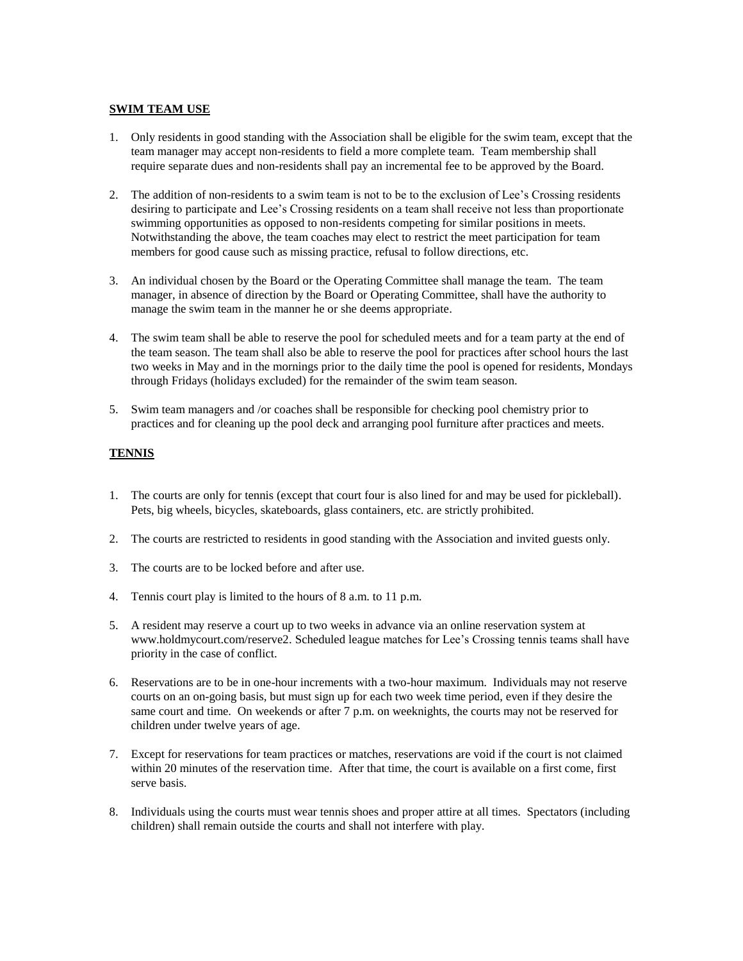#### **SWIM TEAM USE**

- 1. Only residents in good standing with the Association shall be eligible for the swim team, except that the team manager may accept non-residents to field a more complete team. Team membership shall require separate dues and non-residents shall pay an incremental fee to be approved by the Board.
- 2. The addition of non-residents to a swim team is not to be to the exclusion of Lee's Crossing residents desiring to participate and Lee's Crossing residents on a team shall receive not less than proportionate swimming opportunities as opposed to non-residents competing for similar positions in meets. Notwithstanding the above, the team coaches may elect to restrict the meet participation for team members for good cause such as missing practice, refusal to follow directions, etc.
- 3. An individual chosen by the Board or the Operating Committee shall manage the team. The team manager, in absence of direction by the Board or Operating Committee, shall have the authority to manage the swim team in the manner he or she deems appropriate.
- 4. The swim team shall be able to reserve the pool for scheduled meets and for a team party at the end of the team season. The team shall also be able to reserve the pool for practices after school hours the last two weeks in May and in the mornings prior to the daily time the pool is opened for residents, Mondays through Fridays (holidays excluded) for the remainder of the swim team season.
- 5. Swim team managers and /or coaches shall be responsible for checking pool chemistry prior to practices and for cleaning up the pool deck and arranging pool furniture after practices and meets.

# **TENNIS**

- 1. The courts are only for tennis (except that court four is also lined for and may be used for pickleball). Pets, big wheels, bicycles, skateboards, glass containers, etc. are strictly prohibited.
- 2. The courts are restricted to residents in good standing with the Association and invited guests only.
- 3. The courts are to be locked before and after use.
- 4. Tennis court play is limited to the hours of 8 a.m. to 11 p.m.
- 5. A resident may reserve a court up to two weeks in advance via an online reservation system at www.holdmycourt.com/reserve2. Scheduled league matches for Lee's Crossing tennis teams shall have priority in the case of conflict.
- 6. Reservations are to be in one-hour increments with a two-hour maximum. Individuals may not reserve courts on an on-going basis, but must sign up for each two week time period, even if they desire the same court and time. On weekends or after 7 p.m. on weeknights, the courts may not be reserved for children under twelve years of age.
- 7. Except for reservations for team practices or matches, reservations are void if the court is not claimed within 20 minutes of the reservation time. After that time, the court is available on a first come, first serve basis.
- 8. Individuals using the courts must wear tennis shoes and proper attire at all times. Spectators (including children) shall remain outside the courts and shall not interfere with play.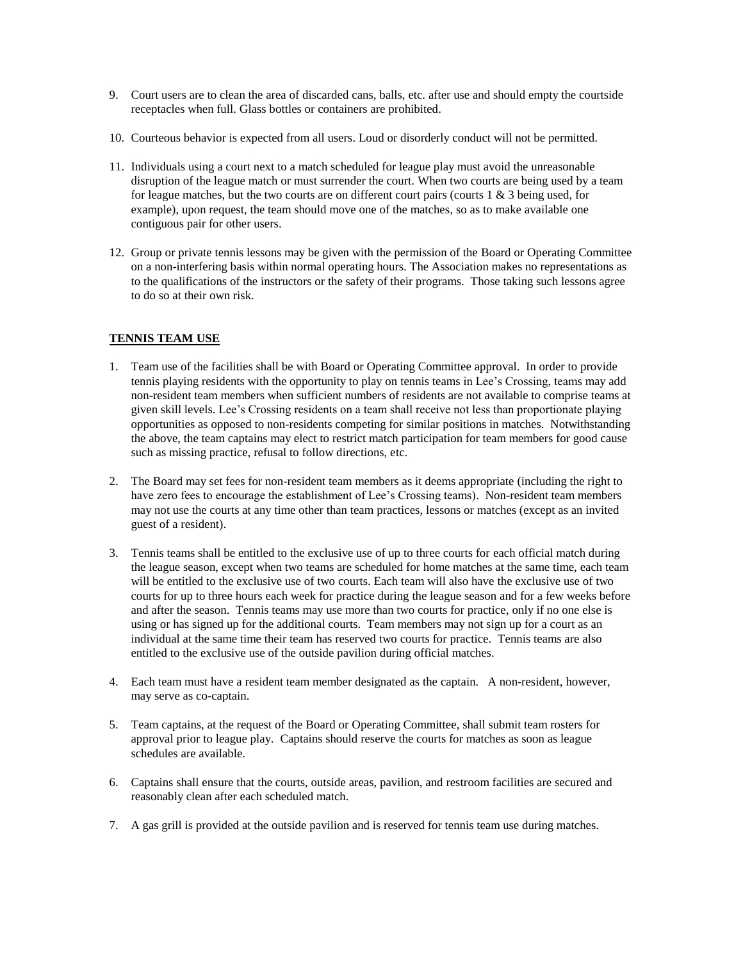- 9. Court users are to clean the area of discarded cans, balls, etc. after use and should empty the courtside receptacles when full. Glass bottles or containers are prohibited.
- 10. Courteous behavior is expected from all users. Loud or disorderly conduct will not be permitted.
- 11. Individuals using a court next to a match scheduled for league play must avoid the unreasonable disruption of the league match or must surrender the court. When two courts are being used by a team for league matches, but the two courts are on different court pairs (courts  $1 \& 3$  being used, for example), upon request, the team should move one of the matches, so as to make available one contiguous pair for other users.
- 12. Group or private tennis lessons may be given with the permission of the Board or Operating Committee on a non-interfering basis within normal operating hours. The Association makes no representations as to the qualifications of the instructors or the safety of their programs. Those taking such lessons agree to do so at their own risk.

# **TENNIS TEAM USE**

- 1. Team use of the facilities shall be with Board or Operating Committee approval. In order to provide tennis playing residents with the opportunity to play on tennis teams in Lee's Crossing, teams may add non-resident team members when sufficient numbers of residents are not available to comprise teams at given skill levels. Lee's Crossing residents on a team shall receive not less than proportionate playing opportunities as opposed to non-residents competing for similar positions in matches. Notwithstanding the above, the team captains may elect to restrict match participation for team members for good cause such as missing practice, refusal to follow directions, etc.
- 2. The Board may set fees for non-resident team members as it deems appropriate (including the right to have zero fees to encourage the establishment of Lee's Crossing teams). Non-resident team members may not use the courts at any time other than team practices, lessons or matches (except as an invited guest of a resident).
- 3. Tennis teams shall be entitled to the exclusive use of up to three courts for each official match during the league season, except when two teams are scheduled for home matches at the same time, each team will be entitled to the exclusive use of two courts. Each team will also have the exclusive use of two courts for up to three hours each week for practice during the league season and for a few weeks before and after the season. Tennis teams may use more than two courts for practice, only if no one else is using or has signed up for the additional courts. Team members may not sign up for a court as an individual at the same time their team has reserved two courts for practice. Tennis teams are also entitled to the exclusive use of the outside pavilion during official matches.
- 4. Each team must have a resident team member designated as the captain. A non-resident, however, may serve as co-captain.
- 5. Team captains, at the request of the Board or Operating Committee, shall submit team rosters for approval prior to league play. Captains should reserve the courts for matches as soon as league schedules are available.
- 6. Captains shall ensure that the courts, outside areas, pavilion, and restroom facilities are secured and reasonably clean after each scheduled match.
- 7. A gas grill is provided at the outside pavilion and is reserved for tennis team use during matches.